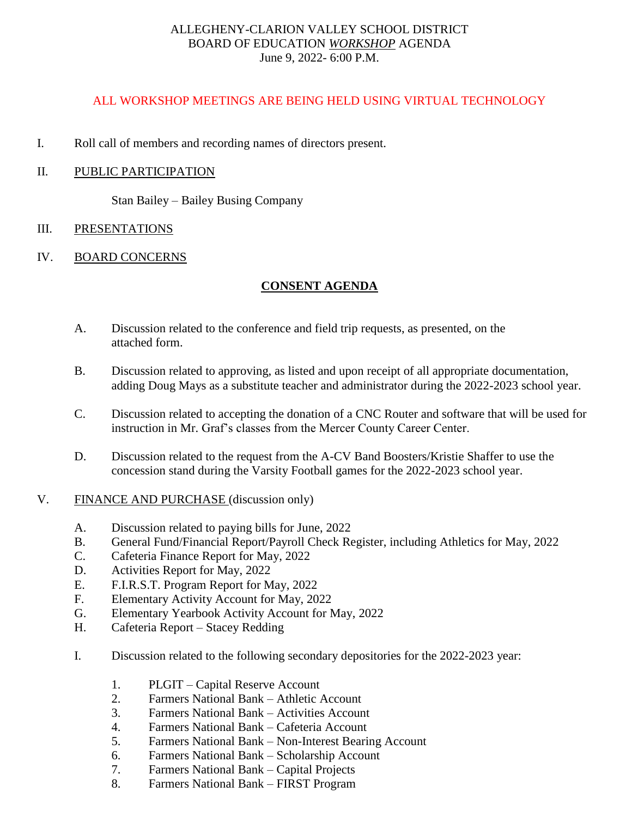## ALLEGHENY-CLARION VALLEY SCHOOL DISTRICT BOARD OF EDUCATION *WORKSHOP* AGENDA June 9, 2022- 6:00 P.M.

## ALL WORKSHOP MEETINGS ARE BEING HELD USING VIRTUAL TECHNOLOGY

I. Roll call of members and recording names of directors present.

## II. PUBLIC PARTICIPATION

Stan Bailey – Bailey Busing Company

### III. PRESENTATIONS

## IV. BOARD CONCERNS

### **CONSENT AGENDA**

- A. Discussion related to the conference and field trip requests, as presented, on the attached form.
- B. Discussion related to approving, as listed and upon receipt of all appropriate documentation, adding Doug Mays as a substitute teacher and administrator during the 2022-2023 school year.
- C. Discussion related to accepting the donation of a CNC Router and software that will be used for instruction in Mr. Graf's classes from the Mercer County Career Center.
- D. Discussion related to the request from the A-CV Band Boosters/Kristie Shaffer to use the concession stand during the Varsity Football games for the 2022-2023 school year.
- V. FINANCE AND PURCHASE (discussion only)
	- A. Discussion related to paying bills for June, 2022
	- B. General Fund/Financial Report/Payroll Check Register, including Athletics for May, 2022
	- C. Cafeteria Finance Report for May, 2022
	- D. Activities Report for May, 2022
	- E. F.I.R.S.T. Program Report for May, 2022
	- F. Elementary Activity Account for May, 2022
	- G. Elementary Yearbook Activity Account for May, 2022
	- H. Cafeteria Report Stacey Redding
	- I. Discussion related to the following secondary depositories for the 2022-2023 year:
		- 1. PLGIT Capital Reserve Account
		- 2. Farmers National Bank Athletic Account
		- 3. Farmers National Bank Activities Account
		- 4. Farmers National Bank Cafeteria Account
		- 5. Farmers National Bank Non-Interest Bearing Account
		- 6. Farmers National Bank Scholarship Account
		- 7. Farmers National Bank Capital Projects
		- 8. Farmers National Bank FIRST Program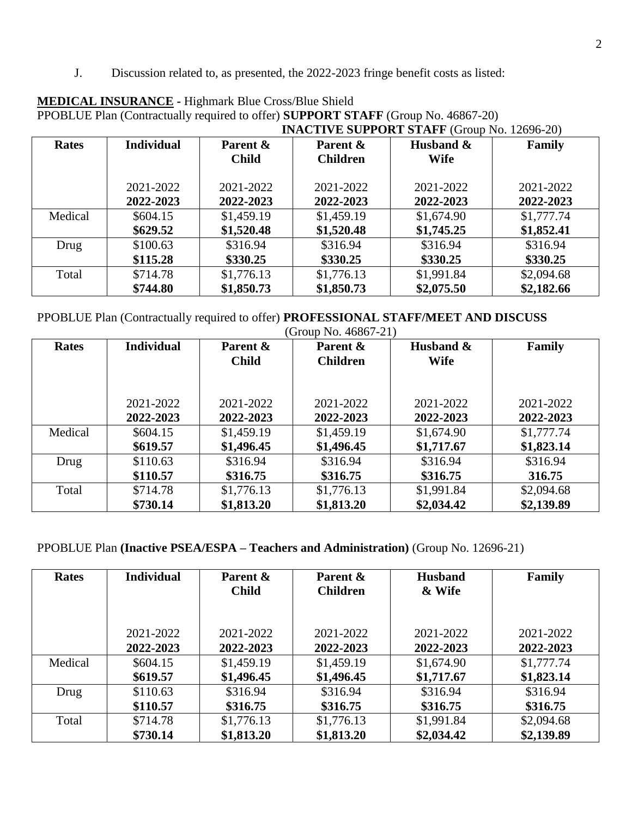J. Discussion related to, as presented, the 2022-2023 fringe benefit costs as listed:

|              |                   | <b>INACTIVE SUPPORT STAFF (Group No. 12696-20)</b> |                 |             |            |  |
|--------------|-------------------|----------------------------------------------------|-----------------|-------------|------------|--|
| <b>Rates</b> | <b>Individual</b> | Parent &                                           | Parent &        | Husband &   | Family     |  |
|              |                   | <b>Child</b>                                       | <b>Children</b> | <b>Wife</b> |            |  |
|              |                   |                                                    |                 |             |            |  |
|              | 2021-2022         | 2021-2022                                          | 2021-2022       | 2021-2022   | 2021-2022  |  |
|              | 2022-2023         | 2022-2023                                          | 2022-2023       | 2022-2023   | 2022-2023  |  |
| Medical      | \$604.15          | \$1,459.19                                         | \$1,459.19      | \$1,674.90  | \$1,777.74 |  |
|              | \$629.52          | \$1,520.48                                         | \$1,520.48      | \$1,745.25  | \$1,852.41 |  |
| Drug         | \$100.63          | \$316.94                                           | \$316.94        | \$316.94    | \$316.94   |  |
|              | \$115.28          | \$330.25                                           | \$330.25        | \$330.25    | \$330.25   |  |
| Total        | \$714.78          | \$1,776.13                                         | \$1,776.13      | \$1,991.84  | \$2,094.68 |  |
|              | \$744.80          | \$1,850.73                                         | \$1,850.73      | \$2,075.50  | \$2,182.66 |  |

# **MEDICAL INSURANCE -** Highmark Blue Cross/Blue Shield PPOBLUE Plan (Contractually required to offer) **SUPPORT STAFF** (Group No. 46867-20)

PPOBLUE Plan (Contractually required to offer) **PROFESSIONAL STAFF/MEET AND DISCUSS**

| (Group No. 46867-21) |                   |              |                 |             |            |  |
|----------------------|-------------------|--------------|-----------------|-------------|------------|--|
| <b>Rates</b>         | <b>Individual</b> | Parent &     | Parent &        | Husband &   | Family     |  |
|                      |                   | <b>Child</b> | <b>Children</b> | <b>Wife</b> |            |  |
|                      |                   |              |                 |             |            |  |
|                      |                   |              |                 |             |            |  |
|                      | 2021-2022         | 2021-2022    | 2021-2022       | 2021-2022   | 2021-2022  |  |
|                      | 2022-2023         | 2022-2023    | 2022-2023       | 2022-2023   | 2022-2023  |  |
| Medical              | \$604.15          | \$1,459.19   | \$1,459.19      | \$1,674.90  | \$1,777.74 |  |
|                      | \$619.57          | \$1,496.45   | \$1,496.45      | \$1,717.67  | \$1,823.14 |  |
| Drug                 | \$110.63          | \$316.94     | \$316.94        | \$316.94    | \$316.94   |  |
|                      | \$110.57          | \$316.75     | \$316.75        | \$316.75    | 316.75     |  |
| Total                | \$714.78          | \$1,776.13   | \$1,776.13      | \$1,991.84  | \$2,094.68 |  |
|                      | \$730.14          | \$1,813.20   | \$1,813.20      | \$2,034.42  | \$2,139.89 |  |

PPOBLUE Plan **(Inactive PSEA/ESPA – Teachers and Administration)** (Group No. 12696-21)

| <b>Rates</b> | <b>Individual</b>      | Parent &<br><b>Child</b> | Parent &<br><b>Children</b> | <b>Husband</b><br>& Wife | Family                 |
|--------------|------------------------|--------------------------|-----------------------------|--------------------------|------------------------|
|              | 2021-2022<br>2022-2023 | 2021-2022<br>2022-2023   | 2021-2022<br>2022-2023      | 2021-2022<br>2022-2023   | 2021-2022<br>2022-2023 |
| Medical      | \$604.15               | \$1,459.19               | \$1,459.19                  | \$1,674.90               | \$1,777.74             |
|              | \$619.57               | \$1,496.45               | \$1,496.45                  | \$1,717.67               | \$1,823.14             |
| Drug         | \$110.63               | \$316.94                 | \$316.94                    | \$316.94                 | \$316.94               |
|              | \$110.57               | \$316.75                 | \$316.75                    | \$316.75                 | \$316.75               |
| Total        | \$714.78               | \$1,776.13               | \$1,776.13                  | \$1,991.84               | \$2,094.68             |
|              | \$730.14               | \$1,813.20               | \$1,813.20                  | \$2,034.42               | \$2,139.89             |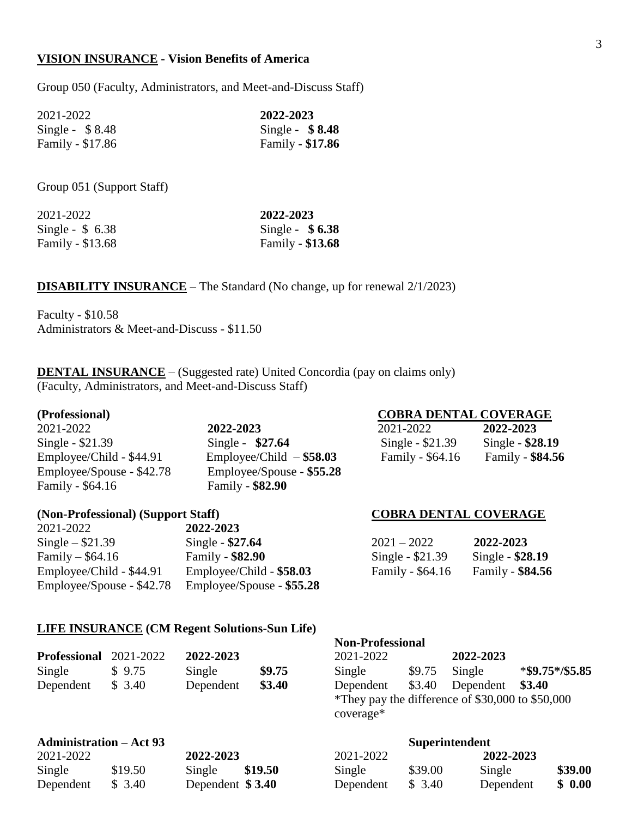### **VISION INSURANCE - Vision Benefits of America**

Group 050 (Faculty, Administrators, and Meet-and-Discuss Staff)

| 2021-2022        | 2022-2023        |  |  |
|------------------|------------------|--|--|
| Single - $$8.48$ | Single - $$8.48$ |  |  |
| Family - \$17.86 | Family - \$17.86 |  |  |

Group 051 (Support Staff)

| 2021-2022        | 2022-2023        |  |  |
|------------------|------------------|--|--|
| Single - $$6.38$ | Single - $$6.38$ |  |  |
| Family - \$13.68 | Family - \$13.68 |  |  |

### **DISABILITY INSURANCE** – The Standard (No change, up for renewal 2/1/2023)

Faculty - \$10.58 Administrators & Meet-and-Discuss - \$11.50

**DENTAL INSURANCE** – (Suggested rate) United Concordia (pay on claims only) (Faculty, Administrators, and Meet-and-Discuss Staff)

**Single - \$21.39** Single - \$27.64 Family - \$64.16 Family - **\$82.90**

 $Emplovec/Child - $44.91$   $Emplovec/Child - $58.03$ Employee/Spouse - \$42.78 Employee/Spouse - **\$55.28**

### (Non-Professional) (Support Staff) **COBRA DENTAL COVERAGE**

### 2021-2022 **2022-2023 Single – \$21.39 27.64** Family – \$64.16 Family - **\$82.90** Employee/Child - \$44.91 Employee/Child - \$58.03 Employee/Spouse - \$42.78 Employee/Spouse - **\$55.28**

### **(Professional) COBRA DENTAL COVERAGE**

| 2021-2022                | 2022-2023                 | 2021-2022         | 2022-2023         |
|--------------------------|---------------------------|-------------------|-------------------|
| Single - \$21.39         | Single - $$27.64$         | Single - $$21.39$ | Single - $$28.19$ |
| Employee/Child - \$44.91 | $Emplovec/Child - $58.03$ | Family - \$64.16  | Family - \$84.56  |

| $2021 - 2022$    | 2022-2023        |
|------------------|------------------|
| Single - \$21.39 | Single - \$28.19 |
| Family - \$64.16 | Family - \$84.56 |

### **LIFE INSURANCE (CM Regent Solutions-Sun Life)**

|                               |        |           |        |           | тулг-т готсвятная                                |                  |                        |
|-------------------------------|--------|-----------|--------|-----------|--------------------------------------------------|------------------|------------------------|
| <b>Professional</b> 2021-2022 |        | 2022-2023 |        | 2021-2022 |                                                  | 2022-2023        |                        |
| Single                        | \$9.75 | Single    | \$9.75 | Single    | \$9.75                                           | Single           | $*$ \$9.75 $*$ /\$5.85 |
| Dependent                     | \$3.40 | Dependent | \$3.40 | Dependent |                                                  | \$3.40 Dependent | \$3.40                 |
|                               |        |           |        |           | *They pay the difference of \$30,000 to \$50,000 |                  |                        |

**Non-Professional**

coverage\*

### **Administration – Act 93 Superintendent** 2021-2022 **2022-2023** 2021-2022 **2022-2023** Single \$19.50 Single **\$19.50** Single \$39.00 Single **\$39.00** Dependent \$ 3.40 Dependent **\$ 3.40** Dependent \$ 3.40 Dependent **\$ 0.00**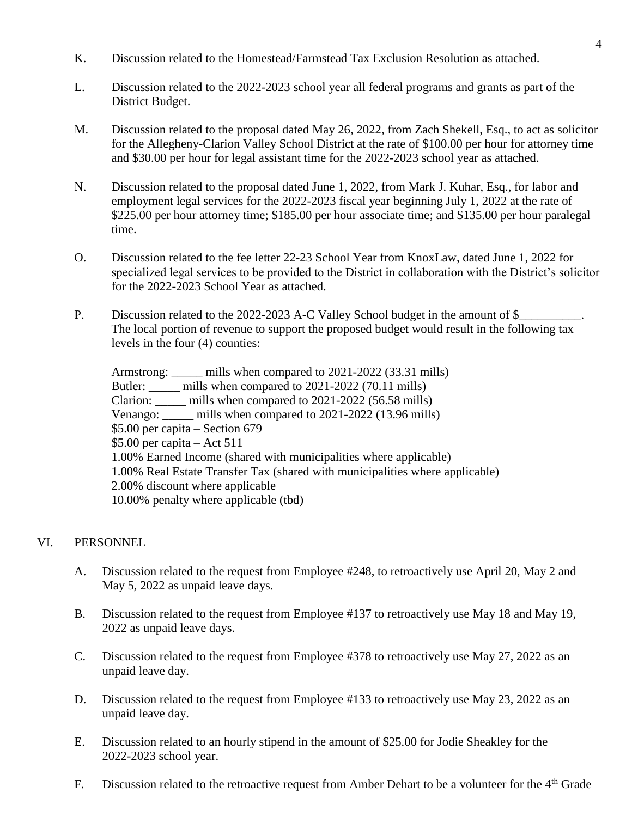- K. Discussion related to the Homestead/Farmstead Tax Exclusion Resolution as attached.
- L. Discussion related to the 2022-2023 school year all federal programs and grants as part of the District Budget.
- M. Discussion related to the proposal dated May 26, 2022, from Zach Shekell, Esq., to act as solicitor for the Allegheny-Clarion Valley School District at the rate of \$100.00 per hour for attorney time and \$30.00 per hour for legal assistant time for the 2022-2023 school year as attached.
- N. Discussion related to the proposal dated June 1, 2022, from Mark J. Kuhar, Esq., for labor and employment legal services for the 2022-2023 fiscal year beginning July 1, 2022 at the rate of \$225.00 per hour attorney time; \$185.00 per hour associate time; and \$135.00 per hour paralegal time.
- O. Discussion related to the fee letter 22-23 School Year from KnoxLaw, dated June 1, 2022 for specialized legal services to be provided to the District in collaboration with the District's solicitor for the 2022-2023 School Year as attached.
- P. Discussion related to the 2022-2023 A-C Valley School budget in the amount of \$\_\_\_\_\_\_\_\_\_\_\_\_\_\_\_\_\_\_ The local portion of revenue to support the proposed budget would result in the following tax levels in the four (4) counties:

Armstrong: mills when compared to 2021-2022 (33.31 mills) Butler: \_\_\_\_\_ mills when compared to 2021-2022 (70.11 mills) Clarion: \_\_\_\_\_ mills when compared to 2021-2022 (56.58 mills) Venango: mills when compared to 2021-2022 (13.96 mills) \$5.00 per capita – Section 679 \$5.00 per capita – Act 511 1.00% Earned Income (shared with municipalities where applicable) 1.00% Real Estate Transfer Tax (shared with municipalities where applicable) 2.00% discount where applicable 10.00% penalty where applicable (tbd)

## VI. PERSONNEL

- A. Discussion related to the request from Employee #248, to retroactively use April 20, May 2 and May 5, 2022 as unpaid leave days.
- B. Discussion related to the request from Employee #137 to retroactively use May 18 and May 19, 2022 as unpaid leave days.
- C. Discussion related to the request from Employee #378 to retroactively use May 27, 2022 as an unpaid leave day.
- D. Discussion related to the request from Employee #133 to retroactively use May 23, 2022 as an unpaid leave day.
- E. Discussion related to an hourly stipend in the amount of \$25.00 for Jodie Sheakley for the 2022-2023 school year.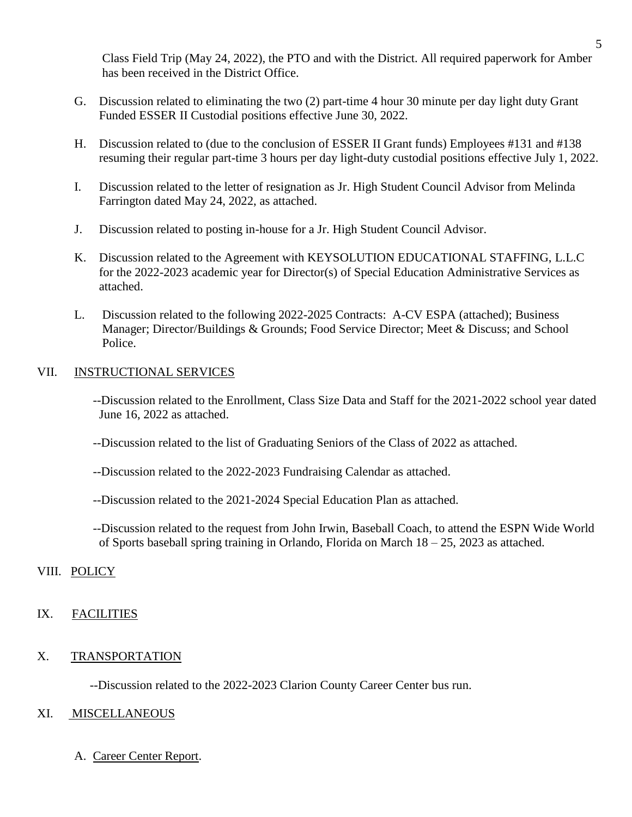Class Field Trip (May 24, 2022), the PTO and with the District. All required paperwork for Amber has been received in the District Office.

- G. Discussion related to eliminating the two (2) part-time 4 hour 30 minute per day light duty Grant Funded ESSER II Custodial positions effective June 30, 2022.
- H. Discussion related to (due to the conclusion of ESSER II Grant funds) Employees #131 and #138 resuming their regular part-time 3 hours per day light-duty custodial positions effective July 1, 2022.
- I. Discussion related to the letter of resignation as Jr. High Student Council Advisor from Melinda Farrington dated May 24, 2022, as attached.
- J. Discussion related to posting in-house for a Jr. High Student Council Advisor.
- K. Discussion related to the Agreement with KEYSOLUTION EDUCATIONAL STAFFING, L.L.C for the 2022-2023 academic year for Director(s) of Special Education Administrative Services as attached.
- L. Discussion related to the following 2022-2025 Contracts: A-CV ESPA (attached); Business Manager; Director/Buildings & Grounds; Food Service Director; Meet & Discuss; and School Police.

### VII. INSTRUCTIONAL SERVICES

- --Discussion related to the Enrollment, Class Size Data and Staff for the 2021-2022 school year dated June 16, 2022 as attached.
- --Discussion related to the list of Graduating Seniors of the Class of 2022 as attached.
- --Discussion related to the 2022-2023 Fundraising Calendar as attached.
- --Discussion related to the 2021-2024 Special Education Plan as attached.
- --Discussion related to the request from John Irwin, Baseball Coach, to attend the ESPN Wide World of Sports baseball spring training in Orlando, Florida on March 18 – 25, 2023 as attached.

### VIII. POLICY

### IX. FACILITIES

### X. TRANSPORTATION

--Discussion related to the 2022-2023 Clarion County Career Center bus run.

### XI. MISCELLANEOUS

A. Career Center Report.